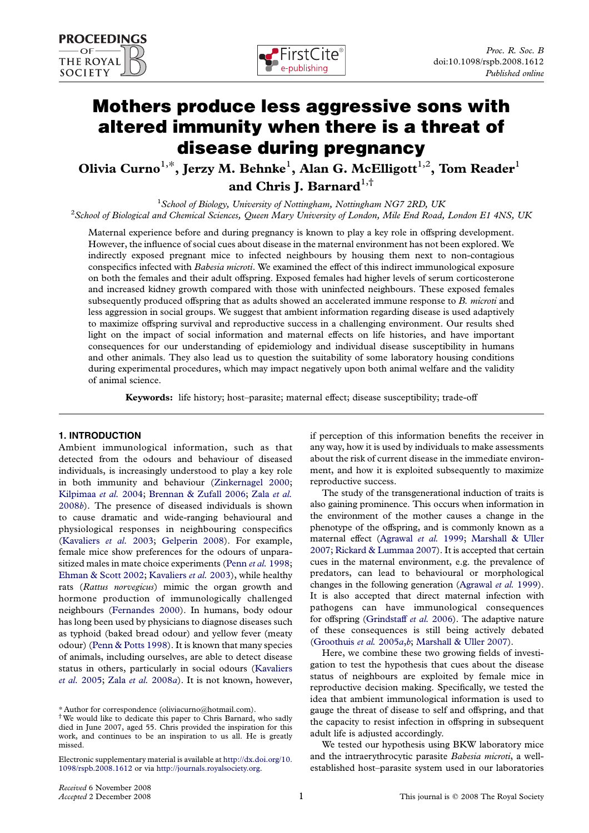

# Mothers produce less aggressive sons with altered immunity when there is a threat of disease during pregnancy

Olivia Curno $^{1,*}$ , Jerzy M. Behnke $^{1}$ , Alan G. McElligott $^{1,2}$ , Tom Reader $^{1}$ and Chris I. Barnard<sup>1,†</sup>

<sup>1</sup>School of Biology, University of Nottingham, Nottingham NG7 2RD, UK <sup>1</sup>School of Biology, University of Nottingham, Nottingham NG7 2RD, UK<br><sup>2</sup>School of Biological and Chemical Sciences, Queen Mary University of London, Mile End Road, London E1 4NS, UK

Maternal experience before and during pregnancy is known to play a key role in offspring development. However, the influence of social cues about disease in the maternal environment has not been explored. We indirectly exposed pregnant mice to infected neighbours by housing them next to non-contagious conspecifics infected with Babesia microti. We examined the effect of this indirect immunological exposure on both the females and their adult offspring. Exposed females had higher levels of serum corticosterone and increased kidney growth compared with those with uninfected neighbours. These exposed females subsequently produced offspring that as adults showed an accelerated immune response to B. microti and less aggression in social groups. We suggest that ambient information regarding disease is used adaptively to maximize offspring survival and reproductive success in a challenging environment. Our results shed light on the impact of social information and maternal effects on life histories, and have important consequences for our understanding of epidemiology and individual disease susceptibility in humans and other animals. They also lead us to question the suitability of some laboratory housing conditions during experimental procedures, which may impact negatively upon both animal welfare and the validity of animal science.

Keywords: life history; host–parasite; maternal effect; disease susceptibility; trade-off

# 1. INTRODUCTION

Ambient immunological information, such as that detected from the odours and behaviour of diseased individuals, is increasingly understood to play a key role in both immunity and behaviour [\(Zinkernagel 2000;](#page-7-0) [Kilpimaa](#page-7-0) et al. 2004; [Brennan & Zufall 2006](#page-6-0); Zala [et al.](#page-7-0) [2008](#page-7-0)b). The presence of diseased individuals is shown to cause dramatic and wide-ranging behavioural and physiological responses in neighbouring conspecifics ([Kavaliers](#page-6-0) et al. 2003; [Gelperin 2008](#page-6-0)). For example, female mice show preferences for the odours of unpara-sitized males in mate choice experiments [\(Penn](#page-7-0) et al. 1998; [Ehman & Scott 2002;](#page-6-0) [Kavaliers](#page-6-0) et al. 2003), while healthy rats (Rattus norvegicus) mimic the organ growth and hormone production of immunologically challenged neighbours [\(Fernandes 2000\)](#page-6-0). In humans, body odour has long been used by physicians to diagnose diseases such as typhoid (baked bread odour) and yellow fever (meaty odour) [\(Penn & Potts 1998](#page-7-0)). It is known that many species of animals, including ourselves, are able to detect disease status in others, particularly in social odours [\(Kavaliers](#page-7-0) et al. [2005](#page-7-0); Zala et al. [2008](#page-7-0)a). It is not known, however,

if perception of this information benefits the receiver in any way, how it is used by individuals to make assessments about the risk of current disease in the immediate environment, and how it is exploited subsequently to maximize reproductive success.

The study of the transgenerational induction of traits is also gaining prominence. This occurs when information in the environment of the mother causes a change in the phenotype of the offspring, and is commonly known as a maternal effect [\(Agrawal](#page-6-0) et al. 1999; [Marshall & Uller](#page-7-0) [2007;](#page-7-0) [Rickard & Lummaa 2007\)](#page-7-0). It is accepted that certain cues in the maternal environment, e.g. the prevalence of predators, can lead to behavioural or morphological changes in the following generation [\(Agrawal](#page-6-0) et al. 1999). It is also accepted that direct maternal infection with pathogens can have immunological consequences for offspring ([Grindstaff](#page-6-0) et al. 2006). The adaptive nature of these consequences is still being actively debated ([Groothuis](#page-6-0) et al. 2005a,[b](#page-6-0); [Marshall & Uller 2007\)](#page-7-0).

Here, we combine these two growing fields of investigation to test the hypothesis that cues about the disease status of neighbours are exploited by female mice in reproductive decision making. Specifically, we tested the idea that ambient immunological information is used to gauge the threat of disease to self and offspring, and that the capacity to resist infection in offspring in subsequent adult life is adjusted accordingly.

We tested our hypothesis using BKW laboratory mice and the intraerythrocytic parasite Babesia microti, a wellestablished host–parasite system used in our laboratories

<sup>\*</sup> Author for correspondence (oliviacurno@hotmail.com).

<sup>†</sup>We would like to dedicate this paper to Chris Barnard, who sadly died in June 2007, aged 55. Chris provided the inspiration for this work, and continues to be an inspiration to us all. He is greatly missed.

Electronic supplementary material is available at [http://dx.doi.org/10.](http://dx.doi.org/10.1098/rspb.2008.1612) [1098/rspb.2008.1612](http://dx.doi.org/10.1098/rspb.2008.1612) or via [http://journals.royalsociety.org.](http://journals.royalsociety.org)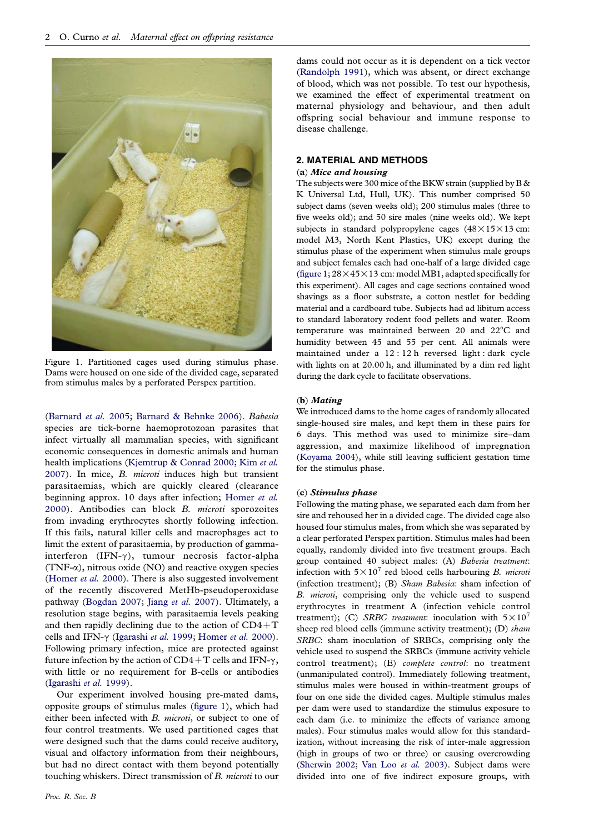

Figure 1. Partitioned cages used during stimulus phase. Dams were housed on one side of the divided cage, separated from stimulus males by a perforated Perspex partition.

([Barnard](#page-6-0) et al. 2005; [Barnard & Behnke 2006](#page-6-0)). Babesia species are tick-borne haemoprotozoan parasites that infect virtually all mammalian species, with significant economic consequences in domestic animals and human health implications [\(Kjemtrup & Conrad 2000](#page-7-0); Kim [et al.](#page-7-0) [2007](#page-7-0)). In mice, B. microti induces high but transient parasitaemias, which are quickly cleared (clearance beginning approx. 10 days after infection; [Homer](#page-6-0) et al. [2000](#page-6-0)). Antibodies can block B. microti sporozoites from invading erythrocytes shortly following infection. If this fails, natural killer cells and macrophages act to limit the extent of parasitaemia, by production of gammainterferon (IFN- $\gamma$ ), tumour necrosis factor-alpha (TNF-a), nitrous oxide (NO) and reactive oxygen species ([Homer](#page-6-0) et al. 2000). There is also suggested involvement of the recently discovered MetHb-pseudoperoxidase pathway ([Bogdan 2007;](#page-6-0) Jiang et al. [2007\)](#page-6-0). Ultimately, a resolution stage begins, with parasitaemia levels peaking and then rapidly declining due to the action of  $CD4+T$ cells and IFN- $\gamma$  ([Igarashi](#page-6-0) et al. 1999; [Homer](#page-6-0) et al. 2000). Following primary infection, mice are protected against future infection by the action of  $CD4+T$  cells and IFN- $\gamma$ , with little or no requirement for B-cells or antibodies ([Igarashi](#page-6-0) et al. 1999).

Our experiment involved housing pre-mated dams, opposite groups of stimulus males (figure 1), which had either been infected with B. microti, or subject to one of four control treatments. We used partitioned cages that were designed such that the dams could receive auditory, visual and olfactory information from their neighbours, but had no direct contact with them beyond potentially touching whiskers. Direct transmission of B. microti to our

dams could not occur as it is dependent on a tick vector [\(Randolph 1991](#page-7-0)), which was absent, or direct exchange of blood, which was not possible. To test our hypothesis, we examined the effect of experimental treatment on maternal physiology and behaviour, and then adult offspring social behaviour and immune response to disease challenge.

# 2. MATERIAL AND METHODS

## (a) Mice and housing

The subjects were 300 mice of the BKW strain (supplied by B & K Universal Ltd, Hull, UK). This number comprised 50 subject dams (seven weeks old); 200 stimulus males (three to five weeks old); and 50 sire males (nine weeks old). We kept subjects in standard polypropylene cages  $(48 \times 15 \times 13 \text{ cm})$ : model M3, North Kent Plastics, UK) except during the stimulus phase of the experiment when stimulus male groups and subject females each had one-half of a large divided cage (figure 1;  $28 \times 45 \times 13$  cm: model MB1, adapted specifically for this experiment). All cages and cage sections contained wood shavings as a floor substrate, a cotton nestlet for bedding material and a cardboard tube. Subjects had ad libitum access to standard laboratory rodent food pellets and water. Room temperature was maintained between 20 and 22*8*C and humidity between 45 and 55 per cent. All animals were maintained under a 12 : 12 h reversed light : dark cycle with lights on at 20.00 h, and illuminated by a dim red light during the dark cycle to facilitate observations.

#### (b) Mating

We introduced dams to the home cages of randomly allocated single-housed sire males, and kept them in these pairs for 6 days. This method was used to minimize sire–dam aggression, and maximize likelihood of impregnation ([Koyama 2004\)](#page-7-0), while still leaving sufficient gestation time for the stimulus phase.

### (c) Stimulus phase

Following the mating phase, we separated each dam from her sire and rehoused her in a divided cage. The divided cage also housed four stimulus males, from which she was separated by a clear perforated Perspex partition. Stimulus males had been equally, randomly divided into five treatment groups. Each group contained 40 subject males: (A) Babesia treatment: infection with  $5 \times 10^7$  red blood cells harbouring B. microti (infection treatment); (B) Sham Babesia: sham infection of B. microti, comprising only the vehicle used to suspend erythrocytes in treatment A (infection vehicle control treatment); (C) SRBC treatment: inoculation with  $5 \times 10^7$ sheep red blood cells (immune activity treatment); (D) sham SRBC: sham inoculation of SRBCs, comprising only the vehicle used to suspend the SRBCs (immune activity vehicle control treatment); (E) complete control: no treatment (unmanipulated control). Immediately following treatment, stimulus males were housed in within-treatment groups of four on one side the divided cages. Multiple stimulus males per dam were used to standardize the stimulus exposure to each dam (i.e. to minimize the effects of variance among males). Four stimulus males would allow for this standardization, without increasing the risk of inter-male aggression (high in groups of two or three) or causing overcrowding ([Sherwin 2002;](#page-7-0) [Van Loo](#page-7-0) et al. 2003). Subject dams were divided into one of five indirect exposure groups, with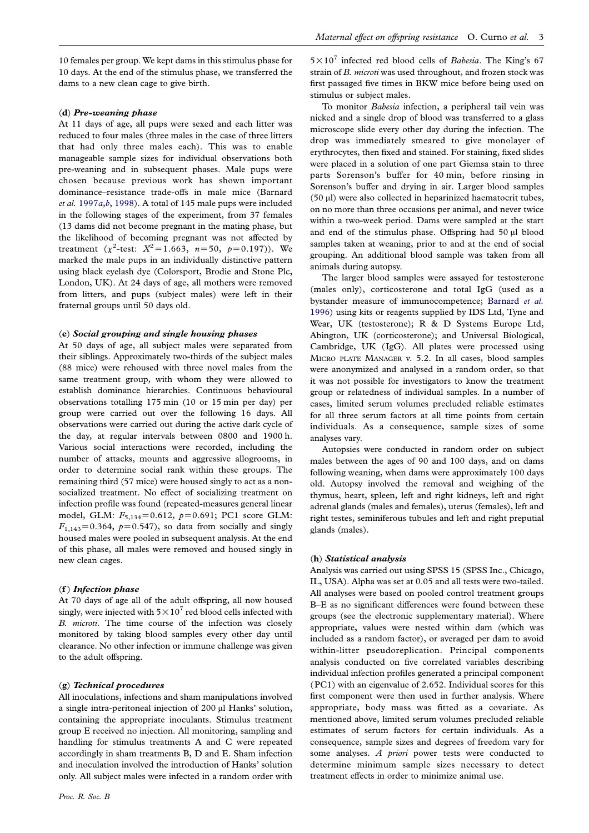10 females per group. We kept dams in this stimulus phase for 10 days. At the end of the stimulus phase, we transferred the dams to a new clean cage to give birth.

## (d) Pre-weaning phase

At 11 days of age, all pups were sexed and each litter was reduced to four males (three males in the case of three litters that had only three males each). This was to enable manageable sample sizes for individual observations both pre-weaning and in subsequent phases. Male pups were chosen because previous work has shown important dominance–resistance trade-offs in male mice (Barnard et al. [1997](#page-6-0)a,[b](#page-6-0), [1998](#page-6-0)). A total of 145 male pups were included in the following stages of the experiment, from 37 females (13 dams did not become pregnant in the mating phase, but the likelihood of becoming pregnant was not affected by treatment ( $\chi^2$ -test:  $X^2 = 1.663$ ,  $n = 50$ ,  $p = 0.197$ )). We marked the male pups in an individually distinctive pattern using black eyelash dye (Colorsport, Brodie and Stone Plc, London, UK). At 24 days of age, all mothers were removed from litters, and pups (subject males) were left in their fraternal groups until 50 days old.

## (e) Social grouping and single housing phases

At 50 days of age, all subject males were separated from their siblings. Approximately two-thirds of the subject males (88 mice) were rehoused with three novel males from the same treatment group, with whom they were allowed to establish dominance hierarchies. Continuous behavioural observations totalling 175 min (10 or 15 min per day) per group were carried out over the following 16 days. All observations were carried out during the active dark cycle of the day, at regular intervals between 0800 and 1900 h. Various social interactions were recorded, including the number of attacks, mounts and aggressive allogrooms, in order to determine social rank within these groups. The remaining third (57 mice) were housed singly to act as a nonsocialized treatment. No effect of socializing treatment on infection profile was found (repeated-measures general linear model, GLM:  $F_{5,134} = 0.612$ ,  $p=0.691$ ; PC1 score GLM:  $F_{1,143}=0.364$ ,  $p=0.547$ ), so data from socially and singly housed males were pooled in subsequent analysis. At the end of this phase, all males were removed and housed singly in new clean cages.

# (f ) Infection phase

At 70 days of age all of the adult offspring, all now housed singly, were injected with  $5 \times 10^7$  red blood cells infected with B. microti. The time course of the infection was closely monitored by taking blood samples every other day until clearance. No other infection or immune challenge was given to the adult offspring.

# (g) Technical procedures

All inoculations, infections and sham manipulations involved a single intra-peritoneal injection of 200  $\mu$ l Hanks' solution, containing the appropriate inoculants. Stimulus treatment group E received no injection. All monitoring, sampling and handling for stimulus treatments A and C were repeated accordingly in sham treatments B, D and E. Sham infection and inoculation involved the introduction of Hanks' solution only. All subject males were infected in a random order with  $5 \times 10^7$  infected red blood cells of Babesia. The King's 67 strain of B. microti was used throughout, and frozen stock was first passaged five times in BKW mice before being used on stimulus or subject males.

To monitor Babesia infection, a peripheral tail vein was nicked and a single drop of blood was transferred to a glass microscope slide every other day during the infection. The drop was immediately smeared to give monolayer of erythrocytes, then fixed and stained. For staining, fixed slides were placed in a solution of one part Giemsa stain to three parts Sorenson's buffer for 40 min, before rinsing in Sorenson's buffer and drying in air. Larger blood samples  $(50 \mu l)$  were also collected in heparinized haematocrit tubes, on no more than three occasions per animal, and never twice within a two-week period. Dams were sampled at the start and end of the stimulus phase. Offspring had  $50 \mu l$  blood samples taken at weaning, prior to and at the end of social grouping. An additional blood sample was taken from all animals during autopsy.

The larger blood samples were assayed for testosterone (males only), corticosterone and total IgG (used as a bystander measure of immunocompetence; [Barnard](#page-6-0) et al. [1996](#page-6-0)) using kits or reagents supplied by IDS Ltd, Tyne and Wear, UK (testosterone); R & D Systems Europe Ltd, Abington, UK (corticosterone); and Universal Biological, Cambridge, UK (IgG). All plates were processed using MICRO PLATE MANAGER v. 5.2. In all cases, blood samples were anonymized and analysed in a random order, so that it was not possible for investigators to know the treatment group or relatedness of individual samples. In a number of cases, limited serum volumes precluded reliable estimates for all three serum factors at all time points from certain individuals. As a consequence, sample sizes of some analyses vary.

Autopsies were conducted in random order on subject males between the ages of 90 and 100 days, and on dams following weaning, when dams were approximately 100 days old. Autopsy involved the removal and weighing of the thymus, heart, spleen, left and right kidneys, left and right adrenal glands (males and females), uterus (females), left and right testes, seminiferous tubules and left and right preputial glands (males).

# (h) Statistical analysis

Analysis was carried out using SPSS 15 (SPSS Inc., Chicago, IL, USA). Alpha was set at 0.05 and all tests were two-tailed. All analyses were based on pooled control treatment groups B–E as no significant differences were found between these groups (see the electronic supplementary material). Where appropriate, values were nested within dam (which was included as a random factor), or averaged per dam to avoid within-litter pseudoreplication. Principal components analysis conducted on five correlated variables describing individual infection profiles generated a principal component (PC1) with an eigenvalue of 2.652. Individual scores for this first component were then used in further analysis. Where appropriate, body mass was fitted as a covariate. As mentioned above, limited serum volumes precluded reliable estimates of serum factors for certain individuals. As a consequence, sample sizes and degrees of freedom vary for some analyses. A priori power tests were conducted to determine minimum sample sizes necessary to detect treatment effects in order to minimize animal use.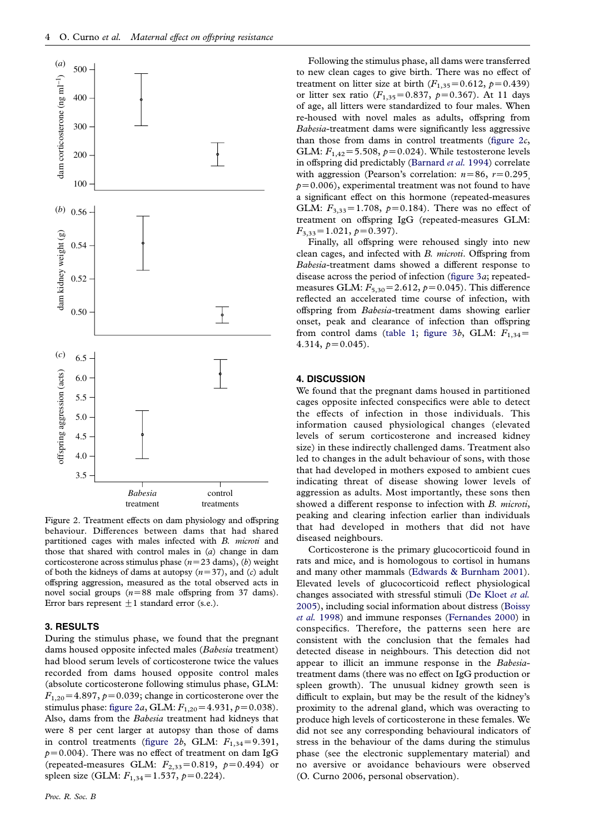

Figure 2. Treatment effects on dam physiology and offspring behaviour. Differences between dams that had shared partitioned cages with males infected with B. microti and those that shared with control males in  $(a)$  change in dam corticosterone across stimulus phase ( $n=23$  dams), (b) weight of both the kidneys of dams at autopsy  $(n=37)$ , and  $(c)$  adult offspring aggression, measured as the total observed acts in novel social groups ( $n=88$  male offspring from 37 dams). Error bars represent  $+1$  standard error (s.e.).

# 3. RESULTS

During the stimulus phase, we found that the pregnant dams housed opposite infected males (Babesia treatment) had blood serum levels of corticosterone twice the values recorded from dams housed opposite control males (absolute corticosterone following stimulus phase, GLM:  $F_{1,20}$ =4.897, p=0.039; change in corticosterone over the stimulus phase: figure 2a, GLM:  $F_{1,20} = 4.931, p = 0.038$ . Also, dams from the Babesia treatment had kidneys that were 8 per cent larger at autopsy than those of dams in control treatments (figure 2b, GLM:  $F_{1,34} = 9.391$ ,  $p=0.004$ ). There was no effect of treatment on dam IgG (repeated-measures GLM:  $F_{2,33} = 0.819$ ,  $p = 0.494$ ) or spleen size (GLM:  $F_{1,34} = 1.537$ ,  $p = 0.224$ ).

Following the stimulus phase, all dams were transferred to new clean cages to give birth. There was no effect of treatment on litter size at birth  $(F_{1,35}=0.612, p=0.439)$ or litter sex ratio  $(F_{1,35}=0.837, p=0.367)$ . At 11 days of age, all litters were standardized to four males. When re-housed with novel males as adults, offspring from Babesia-treatment dams were significantly less aggressive than those from dams in control treatments (figure 2c, GLM:  $F_{1,42}$ = 5.508,  $p$ = 0.024). While testosterone levels in offspring did predictably ([Barnard](#page-6-0) et al. 1994) correlate with aggression (Pearson's correlation:  $n=86$ ,  $r=0.295$ )  $p=0.006$ , experimental treatment was not found to have a significant effect on this hormone (repeated-measures GLM:  $F_{3,33} = 1.708$ ,  $p=0.184$ ). There was no effect of treatment on offspring IgG (repeated-measures GLM:  $F_{3,33}$ =1.021,  $p$ =0.397).

Finally, all offspring were rehoused singly into new clean cages, and infected with B. microti. Offspring from Babesia-treatment dams showed a different response to disease across the period of infection [\(figure 3](#page-4-0)a; repeatedmeasures GLM:  $F_{5,30}$  = 2.612,  $p$  = 0.045). This difference reflected an accelerated time course of infection, with offspring from Babesia-treatment dams showing earlier onset, peak and clearance of infection than offspring from control dams ([table 1](#page-4-0); [figure 3](#page-4-0)b, GLM:  $F_{1,34}$ = 4.314,  $p=0.045$ ).

#### 4. DISCUSSION

We found that the pregnant dams housed in partitioned cages opposite infected conspecifics were able to detect the effects of infection in those individuals. This information caused physiological changes (elevated levels of serum corticosterone and increased kidney size) in these indirectly challenged dams. Treatment also led to changes in the adult behaviour of sons, with those that had developed in mothers exposed to ambient cues indicating threat of disease showing lower levels of aggression as adults. Most importantly, these sons then showed a different response to infection with B. microti, peaking and clearing infection earlier than individuals that had developed in mothers that did not have diseased neighbours.

Corticosterone is the primary glucocorticoid found in rats and mice, and is homologous to cortisol in humans and many other mammals ([Edwards & Burnham 2001](#page-6-0)). Elevated levels of glucocorticoid reflect physiological changes associated with stressful stimuli ([De Kloet](#page-6-0) et al. [2005](#page-6-0)), including social information about distress [\(Boissy](#page-6-0) et al. [1998\)](#page-6-0) and immune responses [\(Fernandes 2000\)](#page-6-0) in conspecifics. Therefore, the patterns seen here are consistent with the conclusion that the females had detected disease in neighbours. This detection did not appear to illicit an immune response in the Babesiatreatment dams (there was no effect on IgG production or spleen growth). The unusual kidney growth seen is difficult to explain, but may be the result of the kidney's proximity to the adrenal gland, which was overacting to produce high levels of corticosterone in these females. We did not see any corresponding behavioural indicators of stress in the behaviour of the dams during the stimulus phase (see the electronic supplementary material) and no aversive or avoidance behaviours were observed (O. Curno 2006, personal observation).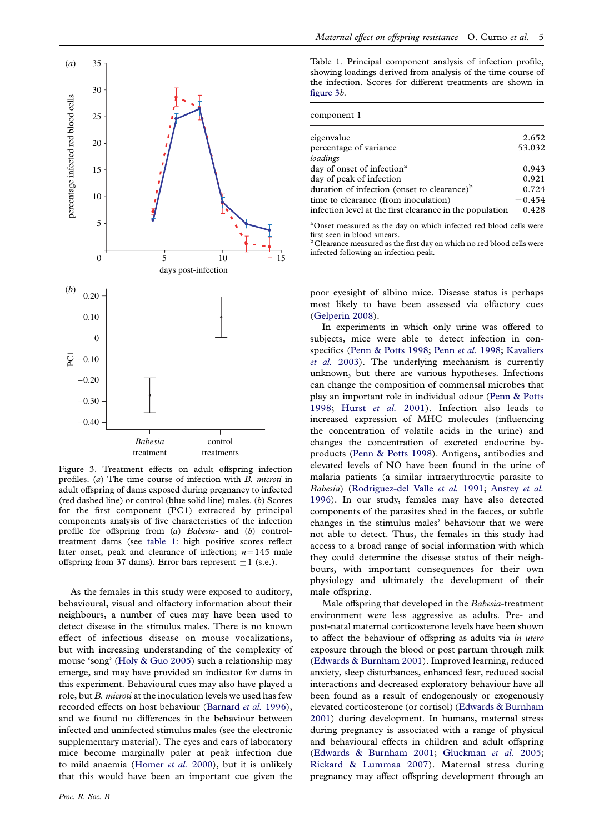<span id="page-4-0"></span>

Figure 3. Treatment effects on adult offspring infection profiles. (a) The time course of infection with B. microti in adult offspring of dams exposed during pregnancy to infected (red dashed line) or control (blue solid line) males. (b) Scores for the first component (PC1) extracted by principal components analysis of five characteristics of the infection profile for offspring from (a) Babesia- and (b) controltreatment dams (see table 1: high positive scores reflect later onset, peak and clearance of infection;  $n=145$  male offspring from 37 dams). Error bars represent  $\pm 1$  (s.e.).

As the females in this study were exposed to auditory, behavioural, visual and olfactory information about their neighbours, a number of cues may have been used to detect disease in the stimulus males. There is no known effect of infectious disease on mouse vocalizations, but with increasing understanding of the complexity of mouse 'song' [\(Holy & Guo 2005](#page-6-0)) such a relationship may emerge, and may have provided an indicator for dams in this experiment. Behavioural cues may also have played a role, but B. microti at the inoculation levels we used has few recorded effects on host behaviour ([Barnard](#page-6-0) et al. 1996), and we found no differences in the behaviour between infected and uninfected stimulus males (see the electronic supplementary material). The eyes and ears of laboratory mice become marginally paler at peak infection due to mild anaemia [\(Homer](#page-6-0) et al. 2000), but it is unlikely that this would have been an important cue given the

Table 1. Principal component analysis of infection profile, showing loadings derived from analysis of the time course of the infection. Scores for different treatments are shown in figure 3b.

| component 1                                              |          |
|----------------------------------------------------------|----------|
| eigenvalue                                               | 2.652    |
| percentage of variance                                   | 53.032   |
| loadings                                                 |          |
| day of onset of infection <sup>a</sup>                   | 0.943    |
| day of peak of infection                                 | 0.921    |
| duration of infection (onset to clearance) <sup>b</sup>  | 0.724    |
| time to clearance (from inoculation)                     | $-0.454$ |
| infection level at the first clearance in the population | 0.428    |

<sup>a</sup>Onset measured as the day on which infected red blood cells were first seen in blood smears.

<sup>b</sup> Clearance measured as the first day on which no red blood cells were infected following an infection peak.

poor eyesight of albino mice. Disease status is perhaps most likely to have been assessed via olfactory cues ([Gelperin 2008\)](#page-6-0).

In experiments in which only urine was offered to subjects, mice were able to detect infection in con-specifics [\(Penn & Potts 1998;](#page-7-0) Penn et al. [1998;](#page-7-0) [Kavaliers](#page-6-0) [et al.](#page-6-0) 2003). The underlying mechanism is currently unknown, but there are various hypotheses. Infections can change the composition of commensal microbes that play an important role in individual odour ([Penn & Potts](#page-7-0) [1998;](#page-7-0) [Hurst](#page-6-0) et al. 2001). Infection also leads to increased expression of MHC molecules (influencing the concentration of volatile acids in the urine) and changes the concentration of excreted endocrine byproducts [\(Penn & Potts 1998](#page-7-0)). Antigens, antibodies and elevated levels of NO have been found in the urine of malaria patients (a similar intraerythrocytic parasite to Babesia) [\(Rodriguez-del Valle](#page-7-0) et al. 1991; [Anstey](#page-6-0) et al. [1996](#page-6-0)). In our study, females may have also detected components of the parasites shed in the faeces, or subtle changes in the stimulus males' behaviour that we were not able to detect. Thus, the females in this study had access to a broad range of social information with which they could determine the disease status of their neighbours, with important consequences for their own physiology and ultimately the development of their male offspring.

Male offspring that developed in the Babesia-treatment environment were less aggressive as adults. Pre- and post-natal maternal corticosterone levels have been shown to affect the behaviour of offspring as adults via in utero exposure through the blood or post partum through milk ([Edwards & Burnham 2001\)](#page-6-0). Improved learning, reduced anxiety, sleep disturbances, enhanced fear, reduced social interactions and decreased exploratory behaviour have all been found as a result of endogenously or exogenously elevated corticosterone (or cortisol) [\(Edwards & Burnham](#page-6-0) [2001](#page-6-0)) during development. In humans, maternal stress during pregnancy is associated with a range of physical and behavioural effects in children and adult offspring ([Edwards & Burnham 2001;](#page-6-0) [Gluckman](#page-6-0) et al. 2005; [Rickard & Lummaa 2007\)](#page-7-0). Maternal stress during pregnancy may affect offspring development through an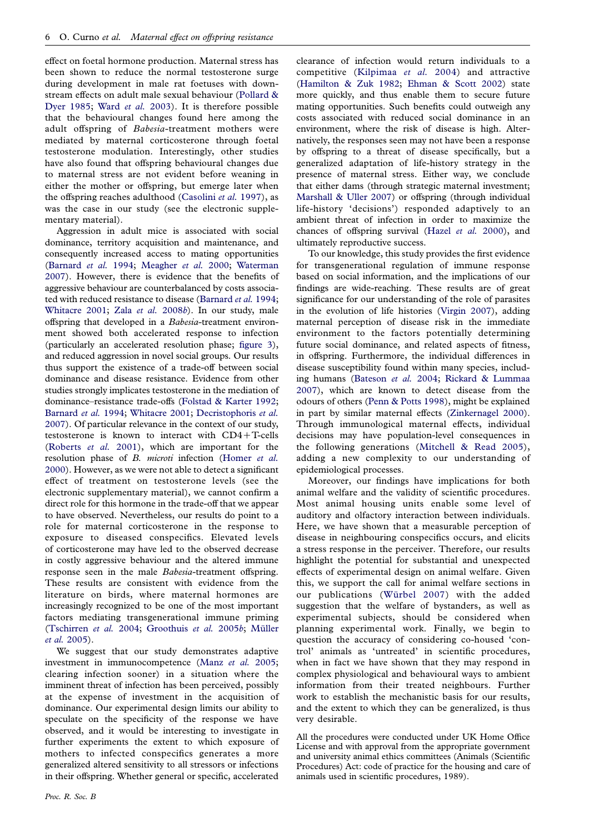effect on foetal hormone production. Maternal stress has been shown to reduce the normal testosterone surge during development in male rat foetuses with downstream effects on adult male sexual behaviour ([Pollard &](#page-7-0) [Dyer 1985;](#page-7-0) [Ward](#page-7-0) et al. 2003). It is therefore possible that the behavioural changes found here among the adult offspring of Babesia-treatment mothers were mediated by maternal corticosterone through foetal testosterone modulation. Interestingly, other studies have also found that offspring behavioural changes due to maternal stress are not evident before weaning in either the mother or offspring, but emerge later when the offspring reaches adulthood [\(Casolini](#page-6-0) et al. 1997), as was the case in our study (see the electronic supplementary material).

Aggression in adult mice is associated with social dominance, territory acquisition and maintenance, and consequently increased access to mating opportunities ([Barnard](#page-6-0) et al. 1994; [Meagher](#page-7-0) et al. 2000; [Waterman](#page-7-0) [2007](#page-7-0)). However, there is evidence that the benefits of aggressive behaviour are counterbalanced by costs associa-ted with reduced resistance to disease ([Barnard](#page-6-0) et al. 1994; [Whitacre 2001;](#page-7-0) Zala [et al.](#page-7-0) 2008b). In our study, male offspring that developed in a Babesia-treatment environment showed both accelerated response to infection (particularly an accelerated resolution phase; [figure 3](#page-4-0)), and reduced aggression in novel social groups. Our results thus support the existence of a trade-off between social dominance and disease resistance. Evidence from other studies strongly implicates testosterone in the mediation of dominance–resistance trade-offs ([Folstad & Karter 1992;](#page-6-0) [Barnard](#page-6-0) et al. 1994; [Whitacre 2001](#page-7-0); [Decristophoris](#page-6-0) et al. [2007](#page-6-0)). Of particular relevance in the context of our study, testosterone is known to interact with  $CD4+T\text{-cells}$ ([Roberts](#page-7-0) et al. 2001), which are important for the resolution phase of B. microti infection ([Homer](#page-6-0) et al. [2000](#page-6-0)). However, as we were not able to detect a significant effect of treatment on testosterone levels (see the electronic supplementary material), we cannot confirm a direct role for this hormone in the trade-off that we appear to have observed. Nevertheless, our results do point to a role for maternal corticosterone in the response to exposure to diseased conspecifics. Elevated levels of corticosterone may have led to the observed decrease in costly aggressive behaviour and the altered immune response seen in the male Babesia-treatment offspring. These results are consistent with evidence from the literature on birds, where maternal hormones are increasingly recognized to be one of the most important factors mediating transgenerational immune priming ([Tschirren](#page-7-0) et al. 2004; [Groothuis](#page-6-0) et al. 2005b; Müller et al. [2005](#page-7-0)).

We suggest that our study demonstrates adaptive investment in immunocompetence ([Manz](#page-7-0) et al. 2005; clearing infection sooner) in a situation where the imminent threat of infection has been perceived, possibly at the expense of investment in the acquisition of dominance. Our experimental design limits our ability to speculate on the specificity of the response we have observed, and it would be interesting to investigate in further experiments the extent to which exposure of mothers to infected conspecifics generates a more generalized altered sensitivity to all stressors or infections in their offspring. Whether general or specific, accelerated

clearance of infection would return individuals to a competitive ([Kilpimaa](#page-7-0) et al. 2004) and attractive [\(Hamilton & Zuk 1982;](#page-6-0) [Ehman & Scott 2002](#page-6-0)) state more quickly, and thus enable them to secure future mating opportunities. Such benefits could outweigh any costs associated with reduced social dominance in an environment, where the risk of disease is high. Alternatively, the responses seen may not have been a response by offspring to a threat of disease specifically, but a generalized adaptation of life-history strategy in the presence of maternal stress. Either way, we conclude that either dams (through strategic maternal investment; [Marshall & Uller 2007\)](#page-7-0) or offspring (through individual life-history 'decisions') responded adaptively to an ambient threat of infection in order to maximize the chances of offspring survival ([Hazel](#page-6-0) et al. 2000), and ultimately reproductive success.

To our knowledge, this study provides the first evidence for transgenerational regulation of immune response based on social information, and the implications of our findings are wide-reaching. These results are of great significance for our understanding of the role of parasites in the evolution of life histories [\(Virgin 2007](#page-7-0)), adding maternal perception of disease risk in the immediate environment to the factors potentially determining future social dominance, and related aspects of fitness, in offspring. Furthermore, the individual differences in disease susceptibility found within many species, including humans ([Bateson](#page-6-0) et al. 2004; [Rickard & Lummaa](#page-7-0) [2007](#page-7-0)), which are known to detect disease from the odours of others [\(Penn & Potts 1998\)](#page-7-0), might be explained in part by similar maternal effects ([Zinkernagel 2000](#page-7-0)). Through immunological maternal effects, individual decisions may have population-level consequences in the following generations ([Mitchell & Read 2005\)](#page-7-0), adding a new complexity to our understanding of epidemiological processes.

Moreover, our findings have implications for both animal welfare and the validity of scientific procedures. Most animal housing units enable some level of auditory and olfactory interaction between individuals. Here, we have shown that a measurable perception of disease in neighbouring conspecifics occurs, and elicits a stress response in the perceiver. Therefore, our results highlight the potential for substantial and unexpected effects of experimental design on animal welfare. Given this, we support the call for animal welfare sections in our publications (Würbel 2007) with the added suggestion that the welfare of bystanders, as well as experimental subjects, should be considered when planning experimental work. Finally, we begin to question the accuracy of considering co-housed 'control' animals as 'untreated' in scientific procedures, when in fact we have shown that they may respond in complex physiological and behavioural ways to ambient information from their treated neighbours. Further work to establish the mechanistic basis for our results, and the extent to which they can be generalized, is thus very desirable.

All the procedures were conducted under UK Home Office License and with approval from the appropriate government and university animal ethics committees (Animals (Scientific Procedures) Act: code of practice for the housing and care of animals used in scientific procedures, 1989).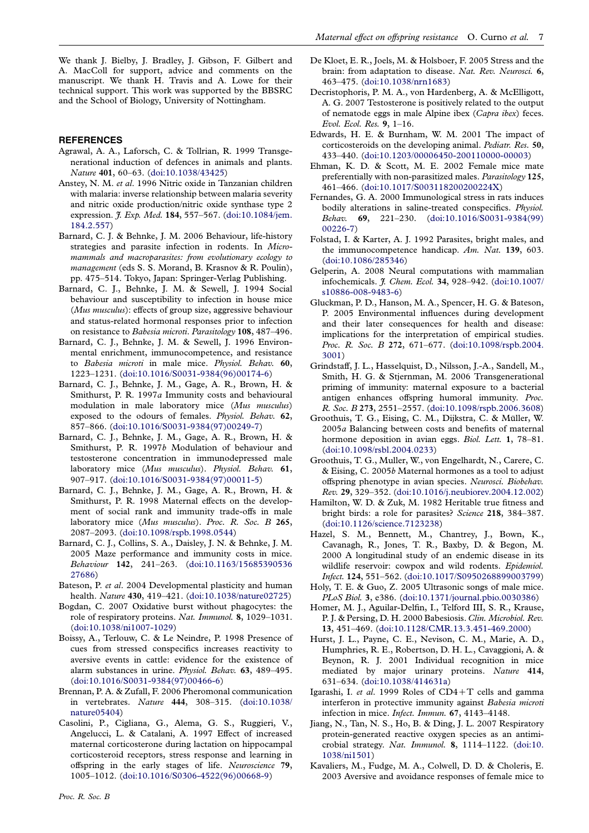<span id="page-6-0"></span>We thank J. Bielby, J. Bradley, J. Gibson, F. Gilbert and A. MacColl for support, advice and comments on the manuscript. We thank H. Travis and A. Lowe for their technical support. This work was supported by the BBSRC and the School of Biology, University of Nottingham.

### REFERENCES

- Agrawal, A. A., Laforsch, C. & Tollrian, R. 1999 Transgenerational induction of defences in animals and plants. Nature 401, 60–63. [\(doi:10.1038/43425\)](http://dx.doi.org/doi:10.1038/43425)
- Anstey, N. M. et al. 1996 Nitric oxide in Tanzanian children with malaria: inverse relationship between malaria severity and nitric oxide production/nitric oxide synthase type 2 expression. *J. Exp. Med.* 184, 557-567. ([doi:10.1084/jem.](http://dx.doi.org/doi:10.1084/jem.184.2.557) [184.2.557](http://dx.doi.org/doi:10.1084/jem.184.2.557))
- Barnard, C. J. & Behnke, J. M. 2006 Behaviour, life-history strategies and parasite infection in rodents. In Micromammals and macroparasites: from evolutionary ecology to management (eds S. S. Morand, B. Krasnov & R. Poulin), pp. 475–514. Tokyo, Japan: Springer-Verlag Publishing.
- Barnard, C. J., Behnke, J. M. & Sewell, J. 1994 Social behaviour and susceptibility to infection in house mice (Mus musculus): effects of group size, aggressive behaviour and status-related hormonal responses prior to infection on resistance to Babesia microti. Parasitology 108, 487–496.
- Barnard, C. J., Behnke, J. M. & Sewell, J. 1996 Environmental enrichment, immunocompetence, and resistance to Babesia microti in male mice. Physiol. Behav. 60, 1223–1231. [\(doi:10.1016/S0031-9384\(96\)00174-6\)](http://dx.doi.org/doi:10.1016/S0031-9384(96)00174-6)
- Barnard, C. J., Behnke, J. M., Gage, A. R., Brown, H. & Smithurst, P. R. 1997a Immunity costs and behavioural modulation in male laboratory mice (Mus musculus) exposed to the odours of females. Physiol. Behav. 62, 857–866. [\(doi:10.1016/S0031-9384\(97\)00249-7\)](http://dx.doi.org/doi:10.1016/S0031-9384(97)00249-7)
- Barnard, C. J., Behnke, J. M., Gage, A. R., Brown, H. & Smithurst, P. R. 1997b Modulation of behaviour and testosterone concentration in immunodepressed male laboratory mice (Mus musculus). Physiol. Behav. 61, 907–917. [\(doi:10.1016/S0031-9384\(97\)00011-5\)](http://dx.doi.org/doi:10.1016/S0031-9384(97)00011-5)
- Barnard, C. J., Behnke, J. M., Gage, A. R., Brown, H. & Smithurst, P. R. 1998 Maternal effects on the development of social rank and immunity trade-offs in male laboratory mice (Mus musculus). Proc. R. Soc. B 265, 2087–2093. [\(doi:10.1098/rspb.1998.0544\)](http://dx.doi.org/doi:10.1098/rspb.1998.0544)
- Barnard, C. J., Collins, S. A., Daisley, J. N. & Behnke, J. M. 2005 Maze performance and immunity costs in mice. Behaviour 142, 241–263. [\(doi:10.1163/15685390536](http://dx.doi.org/doi:10.1163/1568539053627686) [27686\)](http://dx.doi.org/doi:10.1163/1568539053627686)
- Bateson, P. et al. 2004 Developmental plasticity and human health. Nature 430, 419–421. [\(doi:10.1038/nature02725](http://dx.doi.org/doi:10.1038/nature02725))
- Bogdan, C. 2007 Oxidative burst without phagocytes: the role of respiratory proteins. Nat. Immunol. 8, 1029–1031. ([doi:10.1038/ni1007-1029\)](http://dx.doi.org/doi:10.1038/ni1007-1029)
- Boissy, A., Terlouw, C. & Le Neindre, P. 1998 Presence of cues from stressed conspecifics increases reactivity to aversive events in cattle: evidence for the existence of alarm substances in urine. Physiol. Behav. 63, 489–495. ([doi:10.1016/S0031-9384\(97\)00466-6\)](http://dx.doi.org/doi:10.1016/S0031-9384(97)00466-6)
- Brennan, P. A. & Zufall, F. 2006 Pheromonal communication in vertebrates. Nature 444, 308–315. ([doi:10.1038/](http://dx.doi.org/doi:10.1038/nature05404) [nature05404](http://dx.doi.org/doi:10.1038/nature05404))
- Casolini, P., Cigliana, G., Alema, G. S., Ruggieri, V., Angelucci, L. & Catalani, A. 1997 Effect of increased maternal corticosterone during lactation on hippocampal corticosteroid receptors, stress response and learning in offspring in the early stages of life. Neuroscience 79, 1005–1012. [\(doi:10.1016/S0306-4522\(96\)00668-9\)](http://dx.doi.org/doi:10.1016/S0306-4522(96)00668-9)
- De Kloet, E. R., Joels, M. & Holsboer, F. 2005 Stress and the brain: from adaptation to disease. Nat. Rev. Neurosci. 6, 463–475. [\(doi:10.1038/nrn1683\)](http://dx.doi.org/doi:10.1038/nrn1683)
- Decristophoris, P. M. A., von Hardenberg, A. & McElligott, A. G. 2007 Testosterone is positively related to the output of nematode eggs in male Alpine ibex (Capra ibex) feces. Evol. Ecol. Res. 9, 1–16.
- Edwards, H. E. & Burnham, W. M. 2001 The impact of corticosteroids on the developing animal. Pediatr. Res. 50, 433–440. [\(doi:10.1203/00006450-200110000-00003](http://dx.doi.org/doi:10.1203/00006450-200110000-00003))
- Ehman, K. D. & Scott, M. E. 2002 Female mice mate preferentially with non-parasitized males. Parasitology 125, 461–466. [\(doi:10.1017/S003118200200224X\)](http://dx.doi.org/doi:10.1017/S003118200200224X)
- Fernandes, G. A. 2000 Immunological stress in rats induces bodily alterations in saline-treated conspecifics. Physiol. Behav. 69, 221–230. ([doi:10.1016/S0031-9384\(99\)](http://dx.doi.org/doi:10.1016/S0031-9384(99)00226-7) [00226-7](http://dx.doi.org/doi:10.1016/S0031-9384(99)00226-7))
- Folstad, I. & Karter, A. J. 1992 Parasites, bright males, and the immunocompetence handicap. Am. Nat. 139, 603. ([doi:10.1086/285346](http://dx.doi.org/doi:10.1086/285346))
- Gelperin, A. 2008 Neural computations with mammalian infochemicals. J. Chem. Ecol. 34, 928–942. ([doi:10.1007/](http://dx.doi.org/doi:10.1007/s10886-008-9483-6) [s10886-008-9483-6\)](http://dx.doi.org/doi:10.1007/s10886-008-9483-6)
- Gluckman, P. D., Hanson, M. A., Spencer, H. G. & Bateson, P. 2005 Environmental influences during development and their later consequences for health and disease: implications for the interpretation of empirical studies. Proc. R. Soc. B 272, 671-677. ([doi:10.1098/rspb.2004.](http://dx.doi.org/doi:10.1098/rspb.2004.3001) [3001](http://dx.doi.org/doi:10.1098/rspb.2004.3001))
- Grindstaff, J. L., Hasselquist, D., Nilsson, J.-A., Sandell, M., Smith, H. G. & Stjernman, M. 2006 Transgenerational priming of immunity: maternal exposure to a bacterial antigen enhances offspring humoral immunity. Proc. R. Soc. B 273, 2551–2557. [\(doi:10.1098/rspb.2006.3608](http://dx.doi.org/doi:10.1098/rspb.2006.3608))
- Groothuis, T. G., Eising, C. M., Dijkstra, C. & Müller, W. 2005a Balancing between costs and benefits of maternal hormone deposition in avian eggs. Biol. Lett. 1, 78-81. ([doi:10.1098/rsbl.2004.0233\)](http://dx.doi.org/doi:10.1098/rsbl.2004.0233)
- Groothuis, T. G., Muller, W., von Engelhardt, N., Carere, C. & Eising, C. 2005b Maternal hormones as a tool to adjust offspring phenotype in avian species. Neurosci. Biobehav. Rev. 29, 329–352. ([doi:10.1016/j.neubiorev.2004.12.002](http://dx.doi.org/doi:10.1016/j.neubiorev.2004.12.002))
- Hamilton, W. D. & Zuk, M. 1982 Heritable true fitness and bright birds: a role for parasites? Science 218, 384–387. ([doi:10.1126/science.7123238\)](http://dx.doi.org/doi:10.1126/science.7123238)
- Hazel, S. M., Bennett, M., Chantrey, J., Bown, K., Cavanagh, R., Jones, T. R., Baxby, D. & Begon, M. 2000 A longitudinal study of an endemic disease in its wildlife reservoir: cowpox and wild rodents. Epidemiol. Infect. 124, 551–562. ([doi:10.1017/S0950268899003799](http://dx.doi.org/doi:10.1017/S0950268899003799))
- Holy, T. E. & Guo, Z. 2005 Ultrasonic songs of male mice. PLoS Biol. 3, e386. ([doi:10.1371/journal.pbio.0030386](http://dx.doi.org/doi:10.1371/journal.pbio.0030386))
- Homer, M. J., Aguilar-Delfin, I., Telford III, S. R., Krause, P. J. & Persing, D. H. 2000 Babesiosis. Clin. Microbiol. Rev. 13, 451–469. ([doi:10.1128/CMR.13.3.451-469.2000](http://dx.doi.org/doi:10.1128/CMR.13.3.451-469.2000))
- Hurst, J. L., Payne, C. E., Nevison, C. M., Marie, A. D., Humphries, R. E., Robertson, D. H. L., Cavaggioni, A. & Beynon, R. J. 2001 Individual recognition in mice mediated by major urinary proteins. Nature 414, 631–634. [\(doi:10.1038/414631a](http://dx.doi.org/doi:10.1038/414631a))
- Igarashi, I. et al. 1999 Roles of  $CD4+T$  cells and gamma interferon in protective immunity against Babesia microti infection in mice. Infect. Immun. 67, 4143–4148.
- Jiang, N., Tan, N. S., Ho, B. & Ding, J. L. 2007 Respiratory protein-generated reactive oxygen species as an antimicrobial strategy. Nat. Immunol. 8, 1114–1122. ([doi:10.](http://dx.doi.org/doi:10.1038/ni1501) [1038/ni1501\)](http://dx.doi.org/doi:10.1038/ni1501)
- Kavaliers, M., Fudge, M. A., Colwell, D. D. & Choleris, E. 2003 Aversive and avoidance responses of female mice to